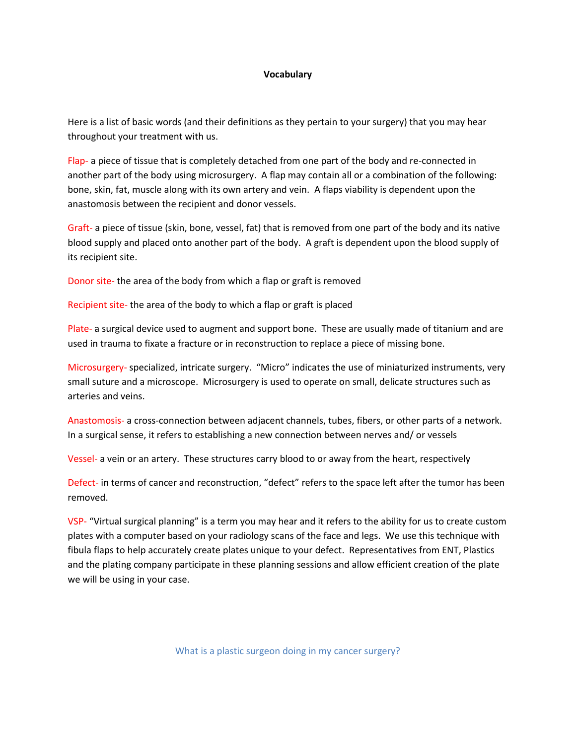## **Vocabulary**

Here is a list of basic words (and their definitions as they pertain to your surgery) that you may hear throughout your treatment with us.

Flap- a piece of tissue that is completely detached from one part of the body and re-connected in another part of the body using microsurgery. A flap may contain all or a combination of the following: bone, skin, fat, muscle along with its own artery and vein. A flaps viability is dependent upon the anastomosis between the recipient and donor vessels.

Graft- a piece of tissue (skin, bone, vessel, fat) that is removed from one part of the body and its native blood supply and placed onto another part of the body. A graft is dependent upon the blood supply of its recipient site.

Donor site- the area of the body from which a flap or graft is removed

Recipient site- the area of the body to which a flap or graft is placed

Plate- a surgical device used to augment and support bone. These are usually made of titanium and are used in trauma to fixate a fracture or in reconstruction to replace a piece of missing bone.

Microsurgery- specialized, intricate surgery. "Micro" indicates the use of miniaturized instruments, very small suture and a microscope. Microsurgery is used to operate on small, delicate structures such as arteries and veins.

Anastomosis- a cross-connection between adjacent channels, tubes, fibers, or other parts of a network. In a surgical sense, it refers to establishing a new connection between nerves and/ or vessels

Vessel- a vein or an artery. These structures carry blood to or away from the heart, respectively

Defect- in terms of cancer and reconstruction, "defect" refers to the space left after the tumor has been removed.

VSP- "Virtual surgical planning" is a term you may hear and it refers to the ability for us to create custom plates with a computer based on your radiology scans of the face and legs. We use this technique with fibula flaps to help accurately create plates unique to your defect. Representatives from ENT, Plastics and the plating company participate in these planning sessions and allow efficient creation of the plate we will be using in your case.

What is a plastic surgeon doing in my cancer surgery?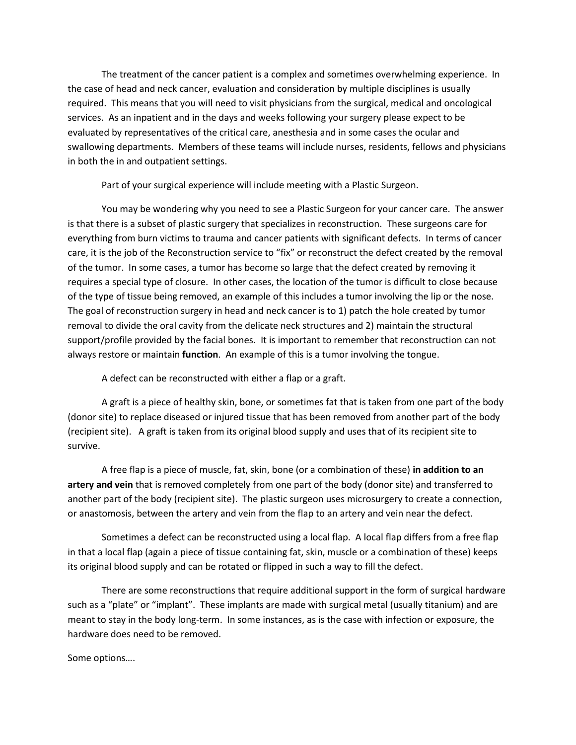The treatment of the cancer patient is a complex and sometimes overwhelming experience. In the case of head and neck cancer, evaluation and consideration by multiple disciplines is usually required. This means that you will need to visit physicians from the surgical, medical and oncological services. As an inpatient and in the days and weeks following your surgery please expect to be evaluated by representatives of the critical care, anesthesia and in some cases the ocular and swallowing departments. Members of these teams will include nurses, residents, fellows and physicians in both the in and outpatient settings.

Part of your surgical experience will include meeting with a Plastic Surgeon.

You may be wondering why you need to see a Plastic Surgeon for your cancer care. The answer is that there is a subset of plastic surgery that specializes in reconstruction. These surgeons care for everything from burn victims to trauma and cancer patients with significant defects. In terms of cancer care, it is the job of the Reconstruction service to "fix" or reconstruct the defect created by the removal of the tumor. In some cases, a tumor has become so large that the defect created by removing it requires a special type of closure. In other cases, the location of the tumor is difficult to close because of the type of tissue being removed, an example of this includes a tumor involving the lip or the nose. The goal of reconstruction surgery in head and neck cancer is to 1) patch the hole created by tumor removal to divide the oral cavity from the delicate neck structures and 2) maintain the structural support/profile provided by the facial bones. It is important to remember that reconstruction can not always restore or maintain **function**. An example of this is a tumor involving the tongue.

A defect can be reconstructed with either a flap or a graft.

A graft is a piece of healthy skin, bone, or sometimes fat that is taken from one part of the body (donor site) to replace diseased or injured tissue that has been removed from another part of the body (recipient site). A graft is taken from its original blood supply and uses that of its recipient site to survive.

A free flap is a piece of muscle, fat, skin, bone (or a combination of these) **in addition to an artery and vein** that is removed completely from one part of the body (donor site) and transferred to another part of the body (recipient site). The plastic surgeon uses microsurgery to create a connection, or anastomosis, between the artery and vein from the flap to an artery and vein near the defect.

Sometimes a defect can be reconstructed using a local flap. A local flap differs from a free flap in that a local flap (again a piece of tissue containing fat, skin, muscle or a combination of these) keeps its original blood supply and can be rotated or flipped in such a way to fill the defect.

There are some reconstructions that require additional support in the form of surgical hardware such as a "plate" or "implant". These implants are made with surgical metal (usually titanium) and are meant to stay in the body long-term. In some instances, as is the case with infection or exposure, the hardware does need to be removed.

Some options….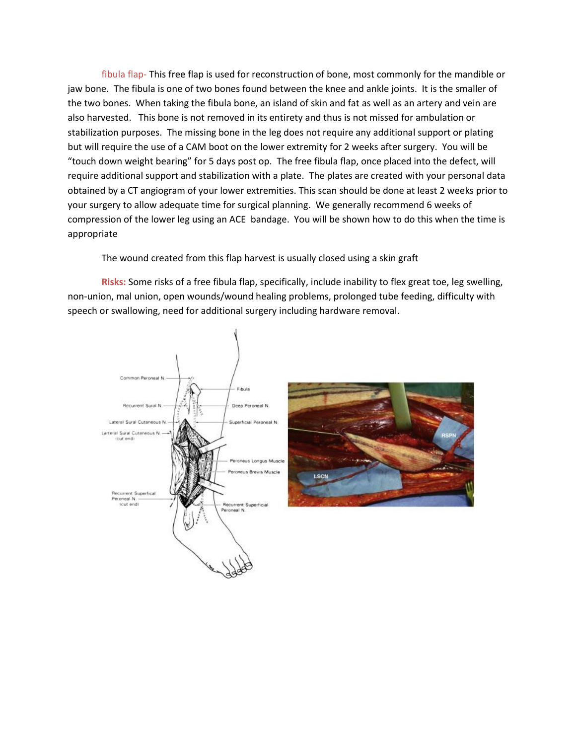fibula flap- This free flap is used for reconstruction of bone, most commonly for the mandible or jaw bone. The fibula is one of two bones found between the knee and ankle joints. It is the smaller of the two bones. When taking the fibula bone, an island of skin and fat as well as an artery and vein are also harvested. This bone is not removed in its entirety and thus is not missed for ambulation or stabilization purposes. The missing bone in the leg does not require any additional support or plating but will require the use of a CAM boot on the lower extremity for 2 weeks after surgery. You will be "touch down weight bearing" for 5 days post op. The free fibula flap, once placed into the defect, will require additional support and stabilization with a plate. The plates are created with your personal data obtained by a CT angiogram of your lower extremities. This scan should be done at least 2 weeks prior to your surgery to allow adequate time for surgical planning. We generally recommend 6 weeks of compression of the lower leg using an ACE bandage. You will be shown how to do this when the time is appropriate

The wound created from this flap harvest is usually closed using a skin graft

**Risks:** Some risks of a free fibula flap, specifically, include inability to flex great toe, leg swelling, non-union, mal union, open wounds/wound healing problems, prolonged tube feeding, difficulty with speech or swallowing, need for additional surgery including hardware removal.

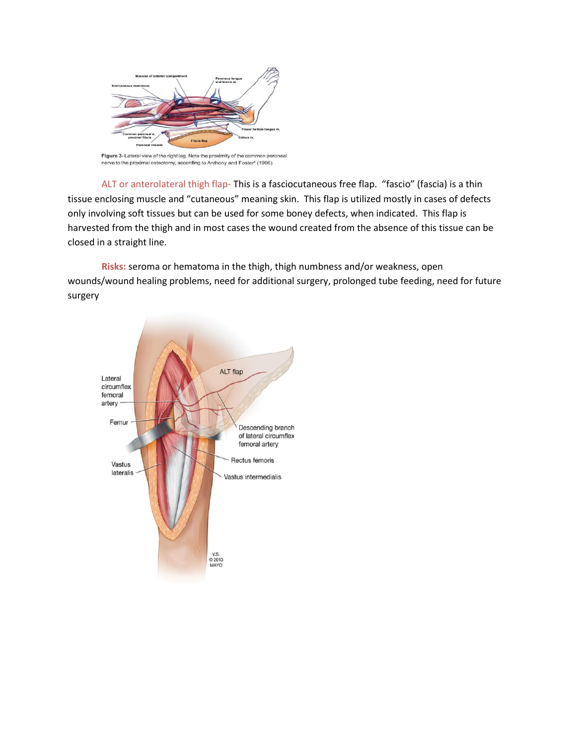

Figure 3- Lateral view of the right leg. Note the proximity of the common peroneal nerve to the proximal osteotomy, according to Anthony and Foster<sup>6</sup> (1996)

ALT or anterolateral thigh flap- This is a fasciocutaneous free flap. "fascio" (fascia) is a thin tissue enclosing muscle and "cutaneous" meaning skin. This flap is utilized mostly in cases of defects only involving soft tissues but can be used for some boney defects, when indicated. This flap is harvested from the thigh and in most cases the wound created from the absence of this tissue can be closed in a straight line.

**Risks:** seroma or hematoma in the thigh, thigh numbness and/or weakness, open wounds/wound healing problems, need for additional surgery, prolonged tube feeding, need for future surgery

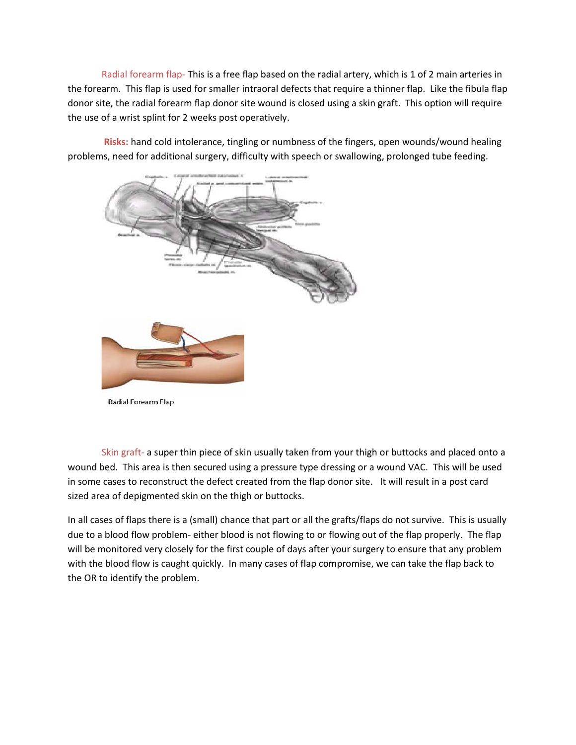Radial forearm flap- This is a free flap based on the radial artery, which is 1 of 2 main arteries in the forearm. This flap is used for smaller intraoral defects that require a thinner flap. Like the fibula flap donor site, the radial forearm flap donor site wound is closed using a skin graft. This option will require the use of a wrist splint for 2 weeks post operatively.

**Risks:** hand cold intolerance, tingling or numbness of the fingers, open wounds/wound healing problems, need for additional surgery, difficulty with speech or swallowing, prolonged tube feeding.



Radial Forearm Flap

Skin graft- a super thin piece of skin usually taken from your thigh or buttocks and placed onto a wound bed. This area is then secured using a pressure type dressing or a wound VAC. This will be used in some cases to reconstruct the defect created from the flap donor site. It will result in a post card sized area of depigmented skin on the thigh or buttocks.

In all cases of flaps there is a (small) chance that part or all the grafts/flaps do not survive. This is usually due to a blood flow problem- either blood is not flowing to or flowing out of the flap properly. The flap will be monitored very closely for the first couple of days after your surgery to ensure that any problem with the blood flow is caught quickly. In many cases of flap compromise, we can take the flap back to the OR to identify the problem.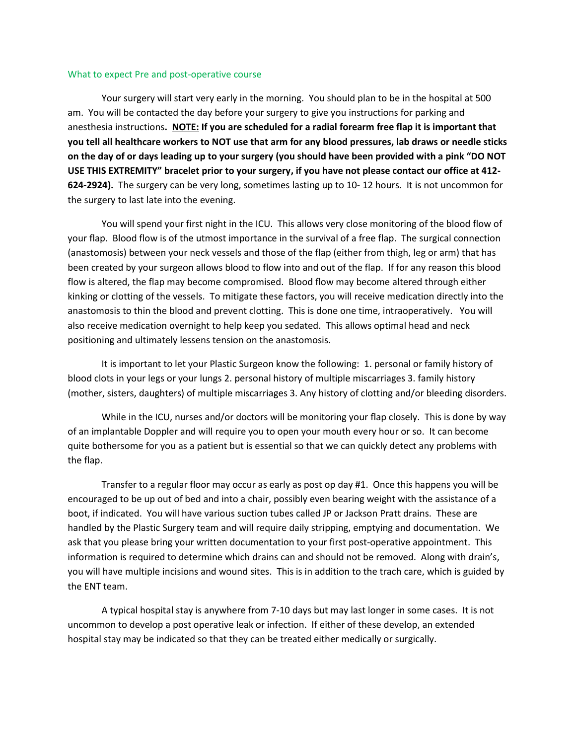## What to expect Pre and post-operative course

Your surgery will start very early in the morning. You should plan to be in the hospital at 500 am. You will be contacted the day before your surgery to give you instructions for parking and anesthesia instructions**. NOTE: If you are scheduled for a radial forearm free flap it is important that you tell all healthcare workers to NOT use that arm for any blood pressures, lab draws or needle sticks on the day of or days leading up to your surgery (you should have been provided with a pink "DO NOT USE THIS EXTREMITY" bracelet prior to your surgery, if you have not please contact our office at 412- 624-2924).** The surgery can be very long, sometimes lasting up to 10- 12 hours. It is not uncommon for the surgery to last late into the evening.

You will spend your first night in the ICU. This allows very close monitoring of the blood flow of your flap. Blood flow is of the utmost importance in the survival of a free flap. The surgical connection (anastomosis) between your neck vessels and those of the flap (either from thigh, leg or arm) that has been created by your surgeon allows blood to flow into and out of the flap. If for any reason this blood flow is altered, the flap may become compromised. Blood flow may become altered through either kinking or clotting of the vessels. To mitigate these factors, you will receive medication directly into the anastomosis to thin the blood and prevent clotting. This is done one time, intraoperatively. You will also receive medication overnight to help keep you sedated. This allows optimal head and neck positioning and ultimately lessens tension on the anastomosis.

It is important to let your Plastic Surgeon know the following: 1. personal or family history of blood clots in your legs or your lungs 2. personal history of multiple miscarriages 3. family history (mother, sisters, daughters) of multiple miscarriages 3. Any history of clotting and/or bleeding disorders.

While in the ICU, nurses and/or doctors will be monitoring your flap closely. This is done by way of an implantable Doppler and will require you to open your mouth every hour or so. It can become quite bothersome for you as a patient but is essential so that we can quickly detect any problems with the flap.

Transfer to a regular floor may occur as early as post op day #1. Once this happens you will be encouraged to be up out of bed and into a chair, possibly even bearing weight with the assistance of a boot, if indicated. You will have various suction tubes called JP or Jackson Pratt drains. These are handled by the Plastic Surgery team and will require daily stripping, emptying and documentation. We ask that you please bring your written documentation to your first post-operative appointment. This information is required to determine which drains can and should not be removed. Along with drain's, you will have multiple incisions and wound sites. This is in addition to the trach care, which is guided by the ENT team.

A typical hospital stay is anywhere from 7-10 days but may last longer in some cases. It is not uncommon to develop a post operative leak or infection. If either of these develop, an extended hospital stay may be indicated so that they can be treated either medically or surgically.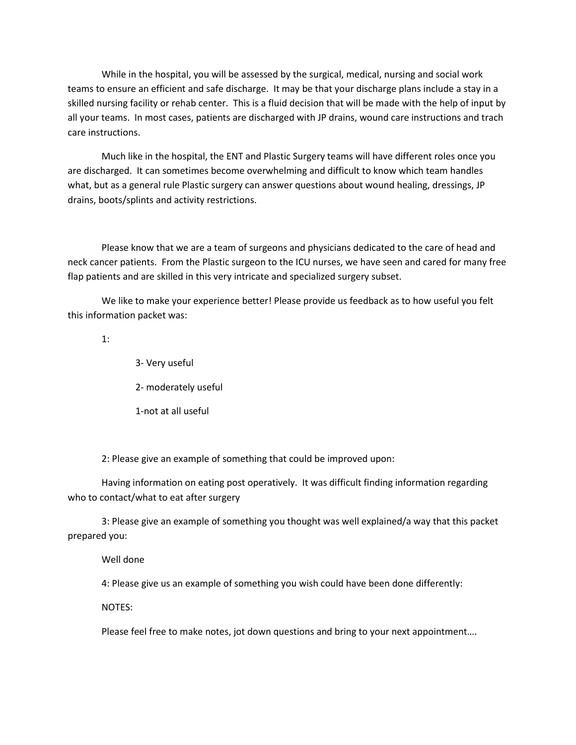While in the hospital, you will be assessed by the surgical, medical, nursing and social work teams to ensure an efficient and safe discharge. It may be that your discharge plans include a stay in a skilled nursing facility or rehab center. This is a fluid decision that will be made with the help of input by all your teams. In most cases, patients are discharged with JP drains, wound care instructions and trach care instructions.

Much like in the hospital, the ENT and Plastic Surgery teams will have different roles once you are discharged. It can sometimes become overwhelming and difficult to know which team handles what, but as a general rule Plastic surgery can answer questions about wound healing, dressings, JP drains, boots/splints and activity restrictions.

Please know that we are a team of surgeons and physicians dedicated to the care of head and neck cancer patients. From the Plastic surgeon to the ICU nurses, we have seen and cared for many free flap patients and are skilled in this very intricate and specialized surgery subset.

We like to make your experience better! Please provide us feedback as to how useful you felt this information packet was:

1:

3- Very useful

2- moderately useful

1-not at all useful

2: Please give an example of something that could be improved upon:

Having information on eating post operatively. It was difficult finding information regarding who to contact/what to eat after surgery

3: Please give an example of something you thought was well explained/a way that this packet prepared you:

Well done

4: Please give us an example of something you wish could have been done differently:

NOTES:

Please feel free to make notes, jot down questions and bring to your next appointment….